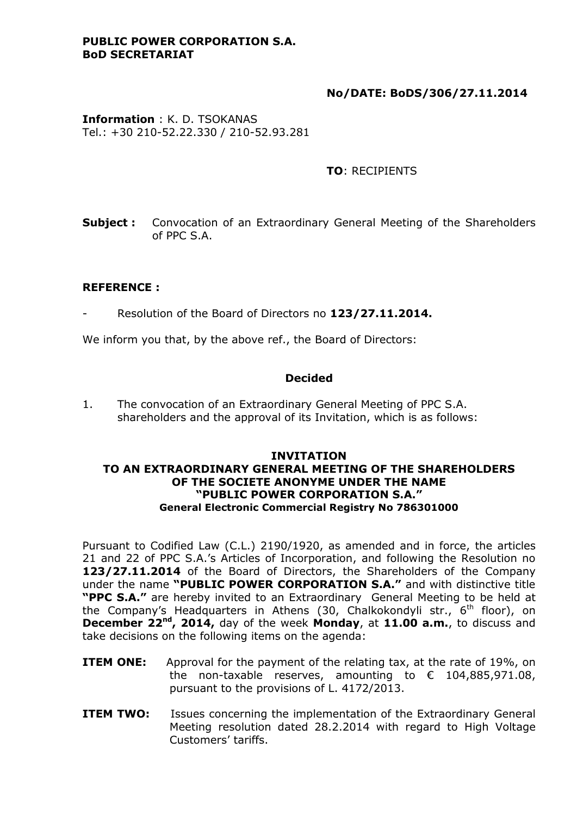#### **PUBLIC POWER CORPORATION S.A. BoD SECRETARIAT**

# **No/DATE: BoDS/306/27.11.2014**

**Information** : K. D. TSOKANAS Tel.: +30 210-52.22.330 / 210-52.93.281

# **TO**: RECIPIENTS

**Subject**: Convocation of an Extraordinary General Meeting of the Shareholders of PPC S.A.

#### **REFERENCE :**

- Resolution of the Board of Directors no **123/27.11.2014.**

We inform you that, by the above ref., the Board of Directors:

#### **Decided**

1. The convocation of an Extraordinary General Meeting of PPC S.A. shareholders and the approval of its Invitation, which is as follows:

#### **INVITATION TO AN EXTRAORDINARY GENERAL MEETING OF THE SHAREHOLDERS OF THE SOCIETE ANONYME UNDER THE NAME "PUBLIC POWER CORPORATION S.A." General Electronic Commercial Registry No 786301000**

Pursuant to Codified Law (C.L.) 2190/1920, as amended and in force, the articles 21 and 22 of PPC S.A.'s Articles of Incorporation, and following the Resolution no **123/27.11.2014** of the Board of Directors, the Shareholders of the Company under the name **"PUBLIC POWER CORPORATION S.A."** and with distinctive title **"PPC S.A."** are hereby invited to an Extraordinary General Meeting to be held at the Company's Headquarters in Athens (30, Chalkokondyli str., 6<sup>th</sup> floor), on **December 22nd , 2014,** day of the week **Monday**, at **11.00 a.m.**, to discuss and take decisions on the following items on the agenda:

- **ITEM ONE:** Approval for the payment of the relating tax, at the rate of 19%, on the non-taxable reserves, amounting to  $\epsilon$  104,885,971.08, pursuant to the provisions of L. 4172/2013.
- **ITEM TWO:** Issues concerning the implementation of the Extraordinary General Meeting resolution dated 28.2.2014 with regard to High Voltage Customers' tariffs.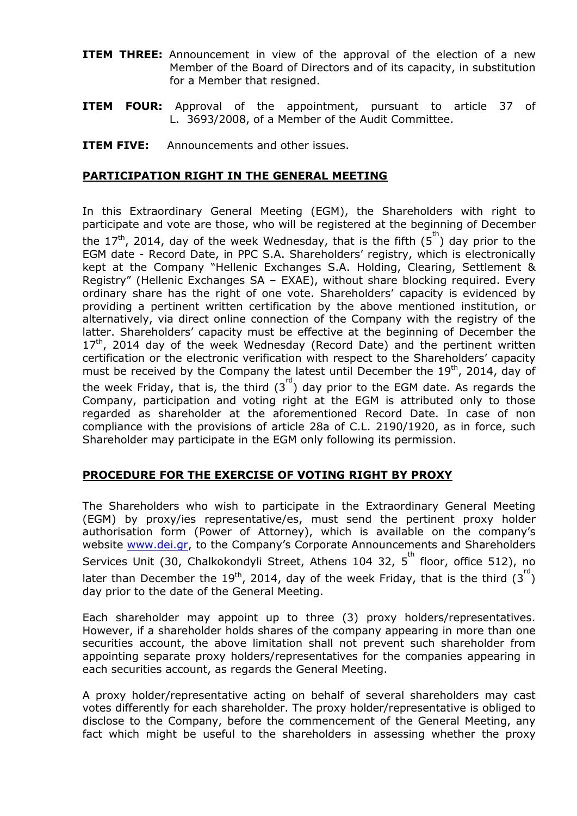- **ITEM THREE:** Announcement in view of the approval of the election of a new Member of the Board of Directors and of its capacity, in substitution for a Member that resigned.
- **ITEM FOUR:** Approval of the appointment, pursuant to article 37 of L. 3693/2008, of a Member of the Audit Committee.
- **ITEM FIVE:** Announcements and other issues.

### **PARTICIPATION RIGHT IN THE GENERAL MEETING**

In this Extraordinary General Meeting (EGM), the Shareholders with right to participate and vote are those, who will be registered at the beginning of December the 17<sup>th</sup>, 2014, day of the week Wednesday, that is the fifth  $(5^{th})$  day prior to the EGM date - Record Date, in PPC S.A. Shareholders' registry, which is electronically kept at the Company "Hellenic Exchanges S.A. Holding, Clearing, Settlement & Registry" (Hellenic Exchanges SA – EXAE), without share blocking required. Every ordinary share has the right of one vote. Shareholders' capacity is evidenced by providing a pertinent written certification by the above mentioned institution, or alternatively, via direct online connection of the Company with the registry of the latter. Shareholders' capacity must be effective at the beginning of December the  $17<sup>th</sup>$ , 2014 day of the week Wednesday (Record Date) and the pertinent written certification or the electronic verification with respect to the Shareholders' capacity must be received by the Company the latest until December the  $19<sup>th</sup>$ , 2014, day of the week Friday, that is, the third  $(3^{rd})$  day prior to the EGM date. As regards the Company, participation and voting right at the EGM is attributed only to those regarded as shareholder at the aforementioned Record Date. In case of non compliance with the provisions of article 28a of C.L. 2190/1920, as in force, such Shareholder may participate in the EGM only following its permission.

# **PROCEDURE FOR THE EXERCISE OF VOTING RIGHT BY PROXY**

The Shareholders who wish to participate in the Extraordinary General Meeting (EGM) by proxy/ies representative/es, must send the pertinent proxy holder authorisation form (Power of Attorney), which is available on the company's website [www.dei.gr](http://www.dei.gr/), to the Company's Corporate Announcements and Shareholders Services Unit (30, Chalkokondyli Street, Athens 104 32, 5<sup>th</sup> floor, office 512), no later than December the 19<sup>th</sup>, 2014, day of the week Friday, that is the third  $(3^{rd})$ day prior to the date of the General Meeting.

Each shareholder may appoint up to three (3) proxy holders/representatives. However, if a shareholder holds shares of the company appearing in more than one securities account, the above limitation shall not prevent such shareholder from appointing separate proxy holders/representatives for the companies appearing in each securities account, as regards the General Meeting.

A proxy holder/representative acting on behalf of several shareholders may cast votes differently for each shareholder. The proxy holder/representative is obliged to disclose to the Company, before the commencement of the General Meeting, any fact which might be useful to the shareholders in assessing whether the proxy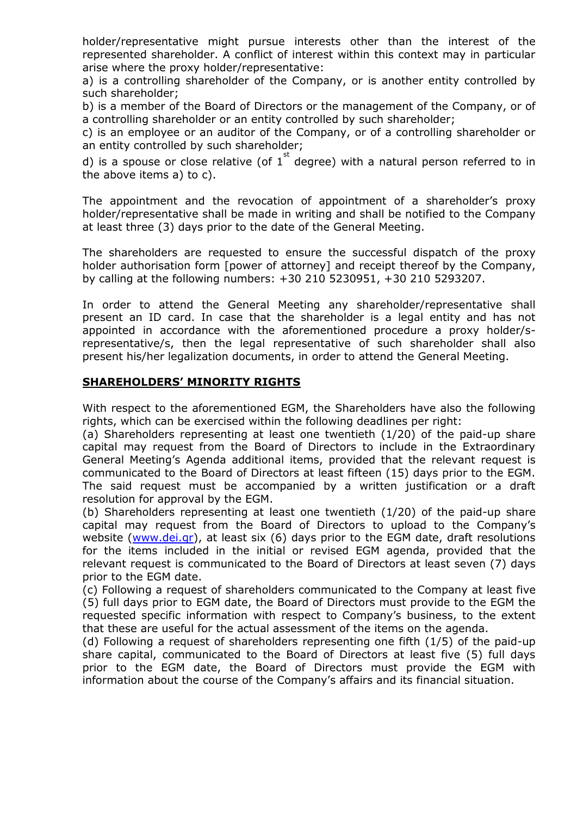holder/representative might pursue interests other than the interest of the represented shareholder. A conflict of interest within this context may in particular arise where the proxy holder/representative:

a) is a controlling shareholder of the Company, or is another entity controlled by such shareholder;

b) is a member of the Board of Directors or the management of the Company, or of a controlling shareholder or an entity controlled by such shareholder;

c) is an employee or an auditor of the Company, or of a controlling shareholder or an entity controlled by such shareholder;

d) is a spouse or close relative (of  $1^{st}$  degree) with a natural person referred to in the above items a) to c).

The appointment and the revocation of appointment of a shareholder's proxy holder/representative shall be made in writing and shall be notified to the Company at least three (3) days prior to the date of the General Meeting.

The shareholders are requested to ensure the successful dispatch of the proxy holder authorisation form [power of attorney] and receipt thereof by the Company, by calling at the following numbers: +30 210 5230951, +30 210 5293207.

In order to attend the General Meeting any shareholder/representative shall present an ID card. In case that the shareholder is a legal entity and has not appointed in accordance with the aforementioned procedure a proxy holder/srepresentative/s, then the legal representative of such shareholder shall also present his/her legalization documents, in order to attend the General Meeting.

# **SHAREHOLDERS' MINORITY RIGHTS**

With respect to the aforementioned EGM, the Shareholders have also the following rights, which can be exercised within the following deadlines per right:

(a) Shareholders representing at least one twentieth (1/20) of the paid-up share capital may request from the Board of Directors to include in the Extraordinary General Meeting's Agenda additional items, provided that the relevant request is communicated to the Board of Directors at least fifteen (15) days prior to the EGM. The said request must be accompanied by a written justification or a draft resolution for approval by the EGM.

(b) Shareholders representing at least one twentieth (1/20) of the paid-up share capital may request from the Board of Directors to upload to the Company's website [\(www.dei.gr\)](http://www.dei.gr/), at least six (6) days prior to the EGM date, draft resolutions for the items included in the initial or revised EGM agenda, provided that the relevant request is communicated to the Board of Directors at least seven (7) days prior to the EGM date.

(c) Following a request of shareholders communicated to the Company at least five (5) full days prior to EGM date, the Board of Directors must provide to the EGM the requested specific information with respect to Company's business, to the extent that these are useful for the actual assessment of the items on the agenda.

(d) Following a request of shareholders representing one fifth (1/5) of the paid-up share capital, communicated to the Board of Directors at least five (5) full days prior to the EGM date, the Board of Directors must provide the EGM with information about the course of the Company's affairs and its financial situation.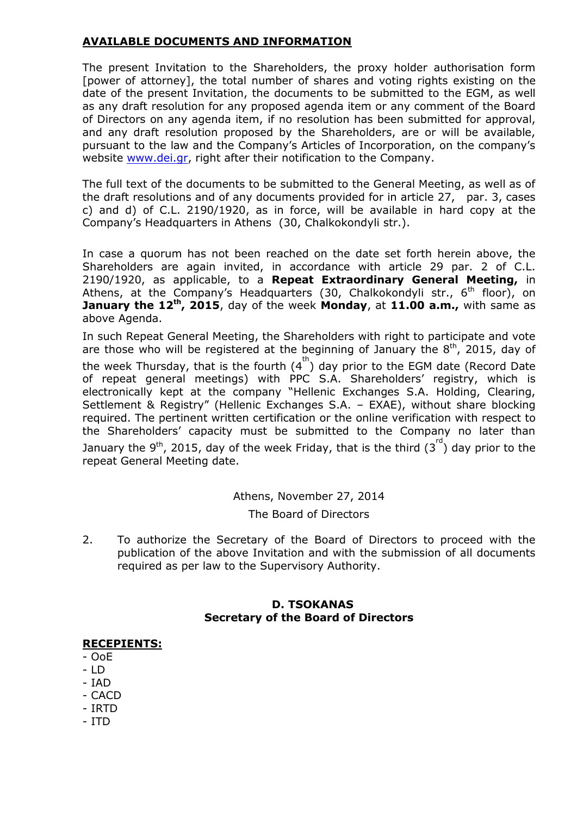# **AVAILABLE DOCUMENTS AND INFORMATION**

The present Invitation to the Shareholders, the proxy holder authorisation form [power of attorney], the total number of shares and voting rights existing on the date of the present Invitation, the documents to be submitted to the EGM, as well as any draft resolution for any proposed agenda item or any comment of the Board of Directors on any agenda item, if no resolution has been submitted for approval, and any draft resolution proposed by the Shareholders, are or will be available, pursuant to the law and the Company's Articles of Incorporation, on the company's website [www.dei.gr,](http://www.dei.gr/) right after their notification to the Company.

The full text of the documents to be submitted to the General Meeting, as well as of the draft resolutions and of any documents provided for in article 27, par. 3, cases c) and d) of C.L. 2190/1920, as in force, will be available in hard copy at the Company's Headquarters in Athens (30, Chalkokondyli str.).

In case a quorum has not been reached on the date set forth herein above, the Shareholders are again invited, in accordance with article 29 par. 2 of C.L. 2190/1920, as applicable, to a **Repeat Extraordinary General Meeting,** in Athens, at the Company's Headquarters (30, Chalkokondyli str.,  $6<sup>th</sup>$  floor), on **January the 12th, 2015**, day of the week **Monday**, at **11.00 a.m.,** with same as above Agenda.

In such Repeat General Meeting, the Shareholders with right to participate and vote are those who will be registered at the beginning of January the  $8<sup>th</sup>$ , 2015, day of the week Thursday, that is the fourth  $(4^{th})$  day prior to the EGM date (Record Date of repeat general meetings) with PPC S.A. Shareholders' registry, which is electronically kept at the company "Hellenic Exchanges S.A. Holding, Clearing, Settlement & Registry" (Hellenic Exchanges S.A. – EXAE), without share blocking required. The pertinent written certification or the online verification with respect to the Shareholders' capacity must be submitted to the Company no later than January the 9<sup>th</sup>, 2015, day of the week Friday, that is the third  $(3^{\text{rd}})$  day prior to the repeat General Meeting date.

> Athens, November 27, 2014 The Board of Directors

2. To authorize the Secretary of the Board of Directors to proceed with the publication of the above Invitation and with the submission of all documents required as per law to the Supervisory Authority.

# **D. TSOKANAS Secretary of the Board of Directors**

#### **RECEPIENTS:**

- OoE
- LD
- IAD
- CACD
- IRTD
- ITD